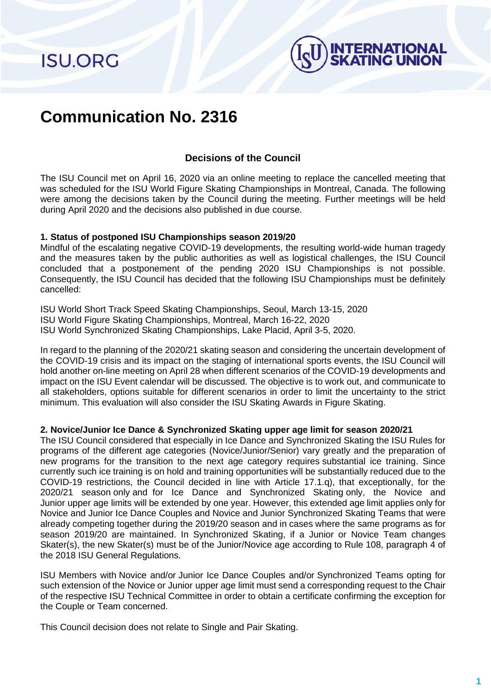**ISU.ORG** 



# **Communication No. 2316**

# **Decisions of the Council**

The ISU Council met on April 16, 2020 via an online meeting to replace the cancelled meeting that was scheduled for the ISU World Figure Skating Championships in Montreal, Canada. The following were among the decisions taken by the Council during the meeting. Further meetings will be held during April 2020 and the decisions also published in due course.

### **1. Status of postponed ISU Championships season 2019/20**

Mindful of the escalating negative COVID-19 developments, the resulting world-wide human tragedy and the measures taken by the public authorities as well as logistical challenges, the ISU Council concluded that a postponement of the pending 2020 ISU Championships is not possible. Consequently, the ISU Council has decided that the following ISU Championships must be definitely cancelled:

ISU World Short Track Speed Skating Championships, Seoul, March 13-15, 2020 ISU World Figure Skating Championships, Montreal, March 16-22, 2020 ISU World Synchronized Skating Championships, Lake Placid, April 3-5, 2020.

In regard to the planning of the 2020/21 skating season and considering the uncertain development of the COVID-19 crisis and its impact on the staging of international sports events, the ISU Council will hold another on-line meeting on April 28 when different scenarios of the COVID-19 developments and impact on the ISU Event calendar will be discussed. The objective is to work out, and communicate to all stakeholders, options suitable for different scenarios in order to limit the uncertainty to the strict minimum. This evaluation will also consider the ISU Skating Awards in Figure Skating.

#### **2. Novice/Junior Ice Dance & Synchronized Skating upper age limit for season 2020/21**

The ISU Council considered that especially in Ice Dance and Synchronized Skating the ISU Rules for programs of the different age categories (Novice/Junior/Senior) vary greatly and the preparation of new programs for the transition to the next age category requires substantial ice training. Since currently such ice training is on hold and training opportunities will be substantially reduced due to the COVID-19 restrictions, the Council decided in line with Article 17.1.q), that exceptionally, for the 2020/21 season only and for Ice Dance and Synchronized Skating only, the Novice and Junior upper age limits will be extended by one year. However, this extended age limit applies only for Novice and Junior Ice Dance Couples and Novice and Junior Synchronized Skating Teams that were already competing together during the 2019/20 season and in cases where the same programs as for season 2019/20 are maintained. In Synchronized Skating, if a Junior or Novice Team changes Skater(s), the new Skater(s) must be of the Junior/Novice age according to Rule 108, paragraph 4 of the 2018 ISU General Regulations.

ISU Members with Novice and/or Junior Ice Dance Couples and/or Synchronized Teams opting for such extension of the Novice or Junior upper age limit must send a corresponding request to the Chair of the respective ISU Technical Committee in order to obtain a certificate confirming the exception for the Couple or Team concerned.

This Council decision does not relate to Single and Pair Skating.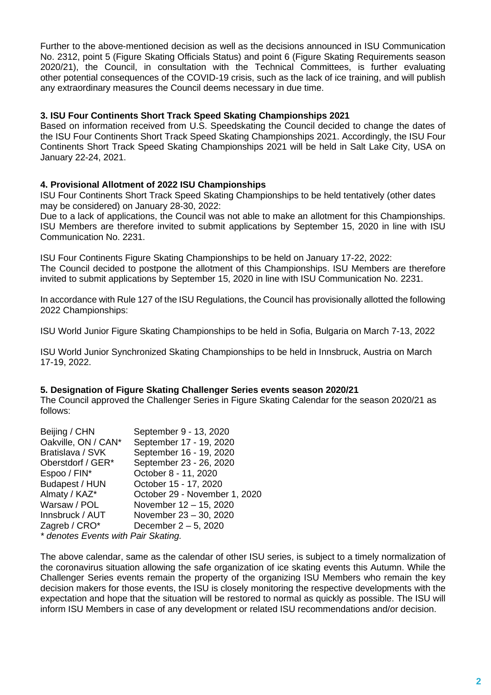Further to the above-mentioned decision as well as the decisions announced in ISU Communication No. 2312, point 5 (Figure Skating Officials Status) and point 6 (Figure Skating Requirements season 2020/21), the Council, in consultation with the Technical Committees, is further evaluating other potential consequences of the COVID-19 crisis, such as the lack of ice training, and will publish any extraordinary measures the Council deems necessary in due time.

### **3. ISU Four Continents Short Track Speed Skating Championships 2021**

Based on information received from U.S. Speedskating the Council decided to change the dates of the ISU Four Continents Short Track Speed Skating Championships 2021. Accordingly, the ISU Four Continents Short Track Speed Skating Championships 2021 will be held in Salt Lake City, USA on January 22-24, 2021.

# **4. Provisional Allotment of 2022 ISU Championships**

ISU Four Continents Short Track Speed Skating Championships to be held tentatively (other dates may be considered) on January 28-30, 2022:

Due to a lack of applications, the Council was not able to make an allotment for this Championships. ISU Members are therefore invited to submit applications by September 15, 2020 in line with ISU Communication No. 2231.

ISU Four Continents Figure Skating Championships to be held on January 17-22, 2022: The Council decided to postpone the allotment of this Championships. ISU Members are therefore invited to submit applications by September 15, 2020 in line with ISU Communication No. 2231.

In accordance with Rule 127 of the ISU Regulations, the Council has provisionally allotted the following 2022 Championships:

ISU World Junior Figure Skating Championships to be held in Sofia, Bulgaria on March 7-13, 2022

ISU World Junior Synchronized Skating Championships to be held in Innsbruck, Austria on March 17-19, 2022.

### **5. Designation of Figure Skating Challenger Series events season 2020/21**

The Council approved the Challenger Series in Figure Skating Calendar for the season 2020/21 as follows:

| Beijing / CHN                       | September 9 - 13, 2020        |
|-------------------------------------|-------------------------------|
| Oakville, ON / CAN*                 | September 17 - 19, 2020       |
| Bratislava / SVK                    | September 16 - 19, 2020       |
| Oberstdorf / GER*                   | September 23 - 26, 2020       |
| Espoo / FIN*                        | October 8 - 11, 2020          |
| Budapest / HUN                      | October 15 - 17, 2020         |
| Almaty / KAZ*                       | October 29 - November 1, 2020 |
| Warsaw / POL                        | November 12 - 15, 2020        |
| Innsbruck / AUT                     | November 23 - 30, 2020        |
| Zagreb / CRO*                       | December 2-5, 2020            |
| * denotes Events with Pair Skating. |                               |

The above calendar, same as the calendar of other ISU series, is subject to a timely normalization of the coronavirus situation allowing the safe organization of ice skating events this Autumn. While the Challenger Series events remain the property of the organizing ISU Members who remain the key decision makers for those events, the ISU is closely monitoring the respective developments with the expectation and hope that the situation will be restored to normal as quickly as possible. The ISU will inform ISU Members in case of any development or related ISU recommendations and/or decision.